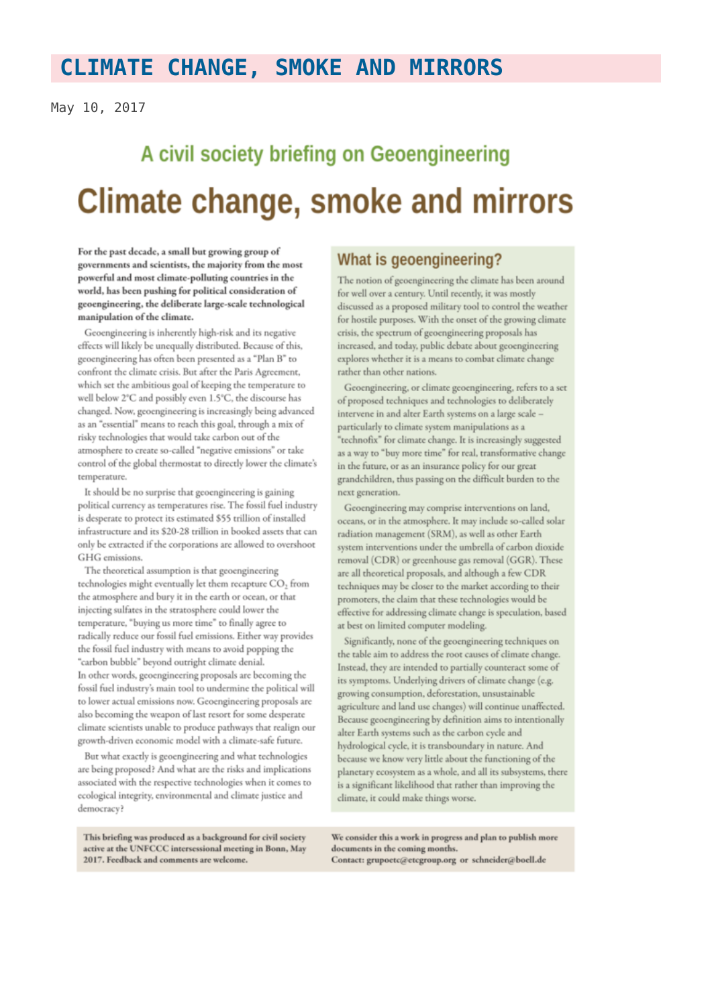## **CLIMATE CHANGE, SMOKE AND MIRRORS**

May 10, 2017

# A civil society briefing on Geoengineering Climate change, smoke and mirrors

For the past decade, a small but growing group of governments and scientists, the majority from the most powerful and most climate-polluting countries in the world, has been pushing for political consideration of geoengineering, the deliberate large-scale technological manipulation of the climate.

Geoengineering is inherently high-risk and its negative effects will likely be unequally distributed. Because of this, geoengineering has often been presented as a "Plan B" to confront the climate crisis. But after the Paris Agreement, which set the ambitious goal of keeping the temperature to well below 2°C and possibly even 1.5°C, the discourse has changed. Now, geoengineering is increasingly being advanced as an "essential" means to reach this goal, through a mix of risky technologies that would take carbon out of the atmosphere to create so-called "negative emissions" or take control of the global thermostat to directly lower the climate's temperature.

It should be no surprise that geoengineering is gaining political currency as temperatures rise. The fossil fuel industry is desperate to protect its estimated \$55 trillion of installed infrastructure and its \$20-28 trillion in booked assets that can only be extracted if the corporations are allowed to overshoot GHG emissions.

The theoretical assumption is that geoengineering technologies might eventually let them recapture CO<sub>2</sub> from the atmosphere and bury it in the earth or ocean, or that injecting sulfates in the stratosphere could lower the temperature, "buying us more time" to finally agree to radically reduce our fossil fuel emissions. Either way provides the fossil fuel industry with means to avoid popping the "carbon bubble" beyond outright climate denial. In other words, geoengineering proposals are becoming the fossil fuel industry's main tool to undermine the political will to lower actual emissions now. Geoengineering proposals are also becoming the weapon of last resort for some desperate climate scientists unable to produce pathways that realign our growth-driven economic model with a climate-safe future.

But what exactly is geoengineering and what technologies are being proposed? And what are the risks and implications associated with the respective technologies when it comes to ecological integrity, environmental and climate justice and democracy?

This briefing was produced as a background for civil society active at the UNFCCC intersessional meeting in Bonn, May 2017. Feedback and comments are welcome.

## What is geoengineering?

The notion of geoengineering the climate has been around for well over a century. Until recently, it was mostly discussed as a proposed military tool to control the weather for hostile purposes. With the onset of the growing climate crisis, the spectrum of geoengineering proposals has increased, and today, public debate about geoengineering explores whether it is a means to combat climate change rather than other nations.

Geoengineering, or climate geoengineering, refers to a set of proposed techniques and technologies to deliberately intervene in and alter Earth systems on a large scale particularly to climate system manipulations as a "technofix" for climate change. It is increasingly suggested as a way to "buy more time" for real, transformative change in the future, or as an insurance policy for our great grandchildren, thus passing on the difficult burden to the next generation.

Geoengineering may comprise interventions on land, oceans, or in the atmosphere. It may include so-called solar radiation management (SRM), as well as other Earth system interventions under the umbrella of carbon dioxide removal (CDR) or greenhouse gas removal (GGR). These are all theoretical proposals, and although a few CDR techniques may be closer to the market according to their promoters, the claim that these technologies would be effective for addressing climate change is speculation, based at best on limited computer modeling.

Significantly, none of the geoengineering techniques on the table aim to address the root causes of climate change. Instead, they are intended to partially counteract some of its symptoms. Underlying drivers of climate change (e.g. growing consumption, deforestation, unsustainable agriculture and land use changes) will continue unaffected. Because geoengineering by definition aims to intentionally alter Earth systems such as the carbon cycle and hydrological cycle, it is transboundary in nature. And because we know very little about the functioning of the planetary ecosystem as a whole, and all its subsystems, there is a significant likelihood that rather than improving the climate, it could make things worse.

We consider this a work in progress and plan to publish more documents in the coming months. Contact: grupoetc@etcgroup.org or schneider@boell.de